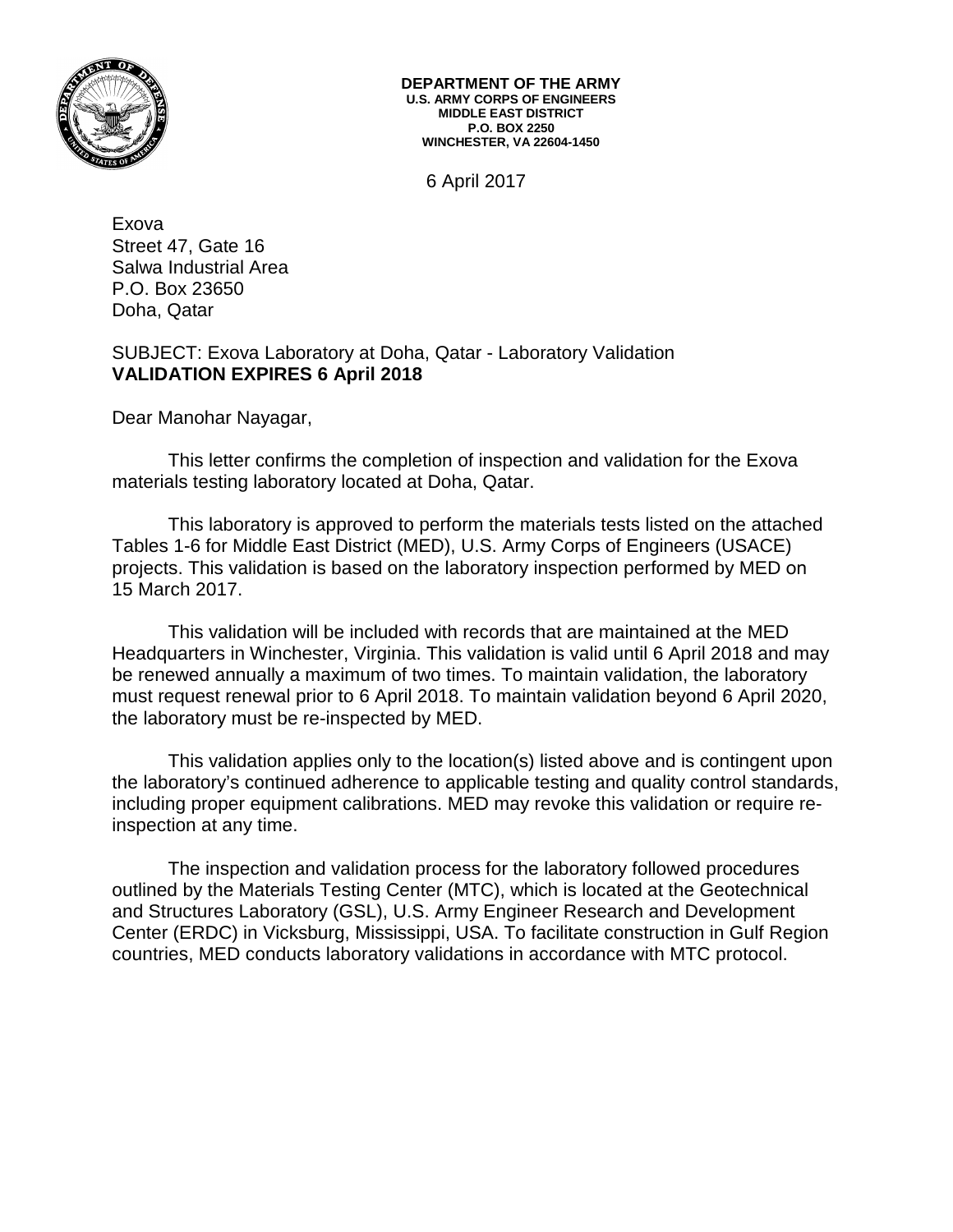

**DEPARTMENT OF THE ARMY U.S. ARMY CORPS OF ENGINEERS MIDDLE EAST DISTRICT P.O. BOX 2250 WINCHESTER, VA 22604-1450**

6 April 2017

Exova Street 47, Gate 16 Salwa Industrial Area P.O. Box 23650 Doha, Qatar

# SUBJECT: Exova Laboratory at Doha, Qatar - Laboratory Validation **VALIDATION EXPIRES 6 April 2018**

Dear Manohar Nayagar,

This letter confirms the completion of inspection and validation for the Exova materials testing laboratory located at Doha, Qatar.

This laboratory is approved to perform the materials tests listed on the attached Tables 1-6 for Middle East District (MED), U.S. Army Corps of Engineers (USACE) projects. This validation is based on the laboratory inspection performed by MED on 15 March 2017.

This validation will be included with records that are maintained at the MED Headquarters in Winchester, Virginia. This validation is valid until 6 April 2018 and may be renewed annually a maximum of two times. To maintain validation, the laboratory must request renewal prior to 6 April 2018. To maintain validation beyond 6 April 2020, the laboratory must be re-inspected by MED.

This validation applies only to the location(s) listed above and is contingent upon the laboratory's continued adherence to applicable testing and quality control standards, including proper equipment calibrations. MED may revoke this validation or require reinspection at any time.

The inspection and validation process for the laboratory followed procedures outlined by the Materials Testing Center (MTC), which is located at the Geotechnical and Structures Laboratory (GSL), U.S. Army Engineer Research and Development Center (ERDC) in Vicksburg, Mississippi, USA. To facilitate construction in Gulf Region countries, MED conducts laboratory validations in accordance with MTC protocol.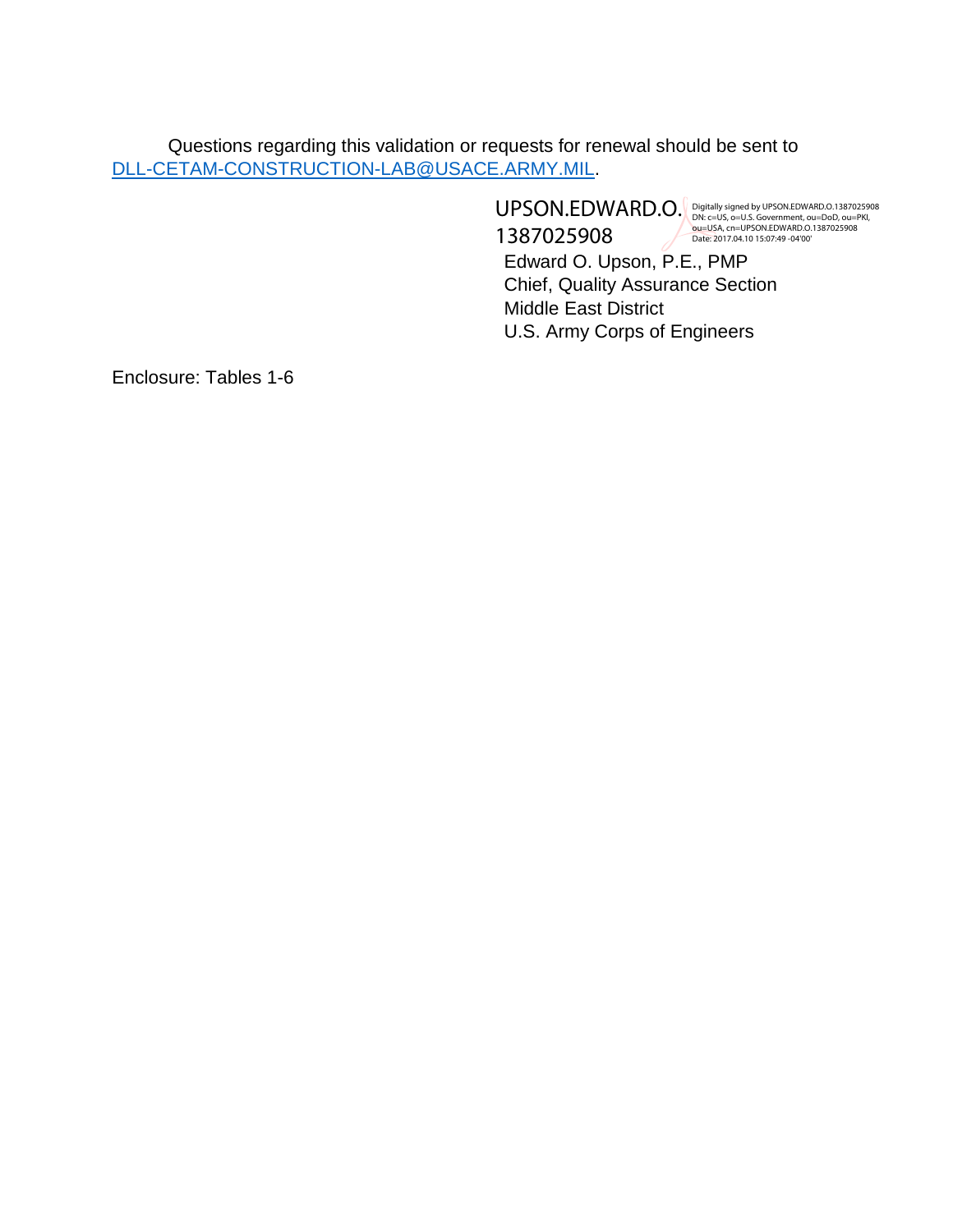Questions regarding this validation or requests for renewal should be sent to [DLL-CETAM-CONSTRUCTION-LAB@USACE.ARMY.MIL.](mailto:DLL-CETAM-CONSTRUCTION-LAB@USACE.ARMY.MIL)

> Edward O. Upson, P.E., PMP Chief, Quality Assurance Section Middle East District U.S. Army Corps of Engineers UPSON.EDWARD.O. 1387025908 Digitally signed by UPSON.EDWARD.O.1387025908<br>DN: c=US, o=U.S. Government, ou=DoD, ou=PKI,<br>bu=USA, cn=UPSON.EDWARD.O.1387025908<br>Date: 2017.04.10 15:07:49 -04'00'

Enclosure: Tables 1-6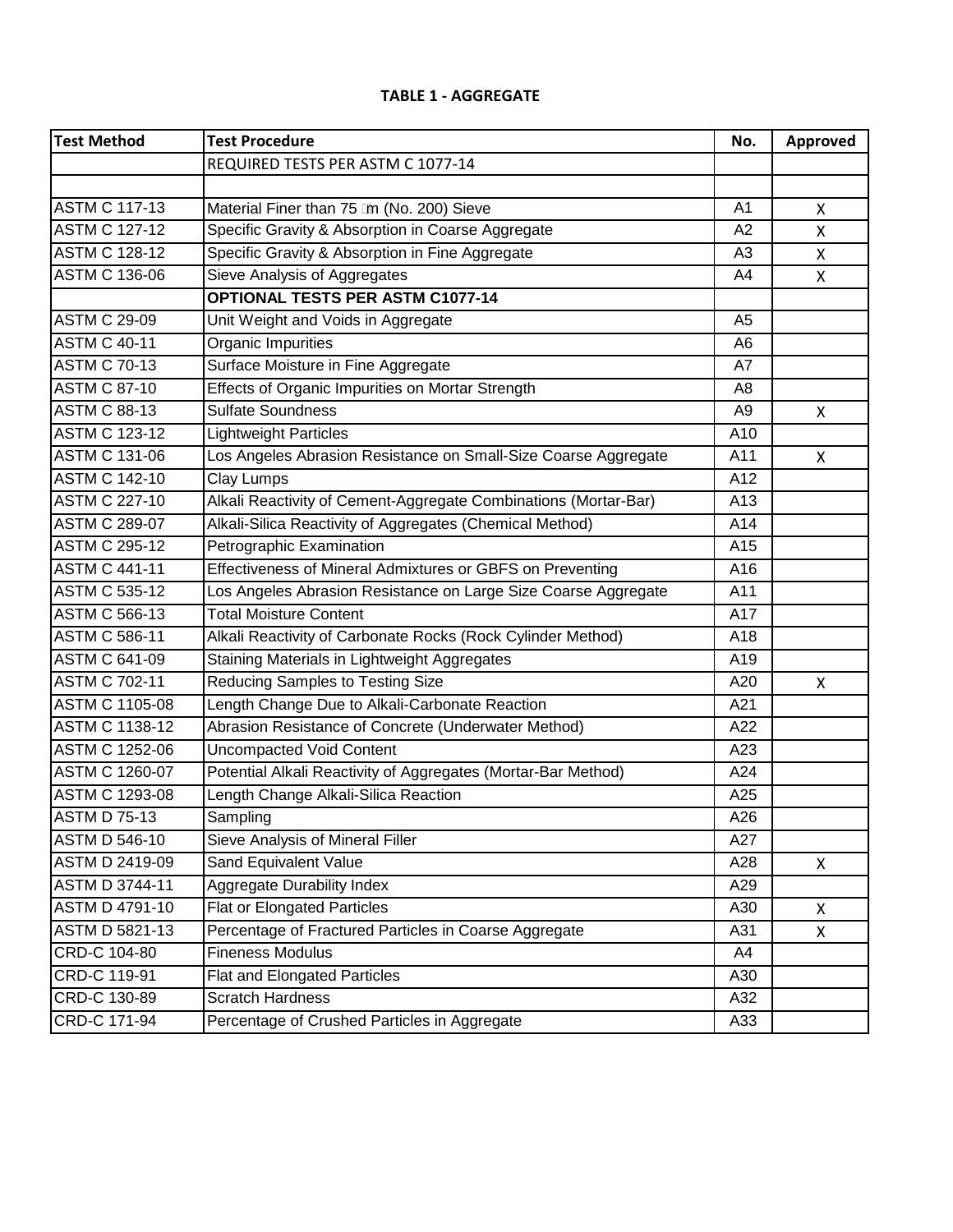#### **TABLE 1 - AGGREGATE**

| <b>Test Method</b>    | <b>Test Procedure</b>                                           | No.            | Approved |
|-----------------------|-----------------------------------------------------------------|----------------|----------|
|                       | REQUIRED TESTS PER ASTM C 1077-14                               |                |          |
|                       |                                                                 |                |          |
| <b>ASTM C 117-13</b>  | Material Finer than 75 Im (No. 200) Sieve                       | A1             | X        |
| <b>ASTM C 127-12</b>  | Specific Gravity & Absorption in Coarse Aggregate               | A <sub>2</sub> | X        |
| <b>ASTM C 128-12</b>  | Specific Gravity & Absorption in Fine Aggregate                 | A <sub>3</sub> | X        |
| <b>ASTM C 136-06</b>  | Sieve Analysis of Aggregates                                    | A4             | X        |
|                       | <b>OPTIONAL TESTS PER ASTM C1077-14</b>                         |                |          |
| <b>ASTM C 29-09</b>   | Unit Weight and Voids in Aggregate                              | A <sub>5</sub> |          |
| <b>ASTM C 40-11</b>   | Organic Impurities                                              | A <sub>6</sub> |          |
| <b>ASTM C 70-13</b>   | Surface Moisture in Fine Aggregate                              | A7             |          |
| <b>ASTM C 87-10</b>   | Effects of Organic Impurities on Mortar Strength                | A <sub>8</sub> |          |
| <b>ASTM C 88-13</b>   | <b>Sulfate Soundness</b>                                        | A <sub>9</sub> | X        |
| <b>ASTM C 123-12</b>  | <b>Lightweight Particles</b>                                    | A10            |          |
| <b>ASTM C 131-06</b>  | Los Angeles Abrasion Resistance on Small-Size Coarse Aggregate  | A11            | X        |
| <b>ASTM C 142-10</b>  | <b>Clay Lumps</b>                                               | A12            |          |
| <b>ASTM C 227-10</b>  | Alkali Reactivity of Cement-Aggregate Combinations (Mortar-Bar) | A13            |          |
| <b>ASTM C 289-07</b>  | Alkali-Silica Reactivity of Aggregates (Chemical Method)        | A14            |          |
| <b>ASTM C 295-12</b>  | Petrographic Examination                                        | A15            |          |
| <b>ASTM C 441-11</b>  | Effectiveness of Mineral Admixtures or GBFS on Preventing       | A16            |          |
| <b>ASTM C 535-12</b>  | Los Angeles Abrasion Resistance on Large Size Coarse Aggregate  | A11            |          |
| <b>ASTM C 566-13</b>  | <b>Total Moisture Content</b>                                   | A17            |          |
| <b>ASTM C 586-11</b>  | Alkali Reactivity of Carbonate Rocks (Rock Cylinder Method)     | A18            |          |
| <b>ASTM C 641-09</b>  | Staining Materials in Lightweight Aggregates                    | A19            |          |
| <b>ASTM C 702-11</b>  | <b>Reducing Samples to Testing Size</b>                         | A20            | X        |
| <b>ASTM C 1105-08</b> | Length Change Due to Alkali-Carbonate Reaction                  | A21            |          |
| <b>ASTM C 1138-12</b> | Abrasion Resistance of Concrete (Underwater Method)             | A22            |          |
| <b>ASTM C 1252-06</b> | <b>Uncompacted Void Content</b>                                 | A23            |          |
| <b>ASTM C 1260-07</b> | Potential Alkali Reactivity of Aggregates (Mortar-Bar Method)   | A24            |          |
| <b>ASTM C 1293-08</b> | Length Change Alkali-Silica Reaction                            | A25            |          |
| <b>ASTM D 75-13</b>   | Sampling                                                        | A26            |          |
| <b>ASTM D 546-10</b>  | Sieve Analysis of Mineral Filler                                | A27            |          |
| <b>ASTM D 2419-09</b> | <b>Sand Equivalent Value</b>                                    | A28            | X        |
| <b>ASTM D 3744-11</b> | <b>Aggregate Durability Index</b>                               | A29            |          |
| ASTM D 4791-10        | <b>Flat or Elongated Particles</b>                              | A30            | X        |
| <b>ASTM D 5821-13</b> | Percentage of Fractured Particles in Coarse Aggregate           | A31            | X        |
| CRD-C 104-80          | <b>Fineness Modulus</b>                                         | A4             |          |
| CRD-C 119-91          | Flat and Elongated Particles                                    | A30            |          |
| CRD-C 130-89          | <b>Scratch Hardness</b>                                         | A32            |          |
| CRD-C 171-94          | Percentage of Crushed Particles in Aggregate                    | A33            |          |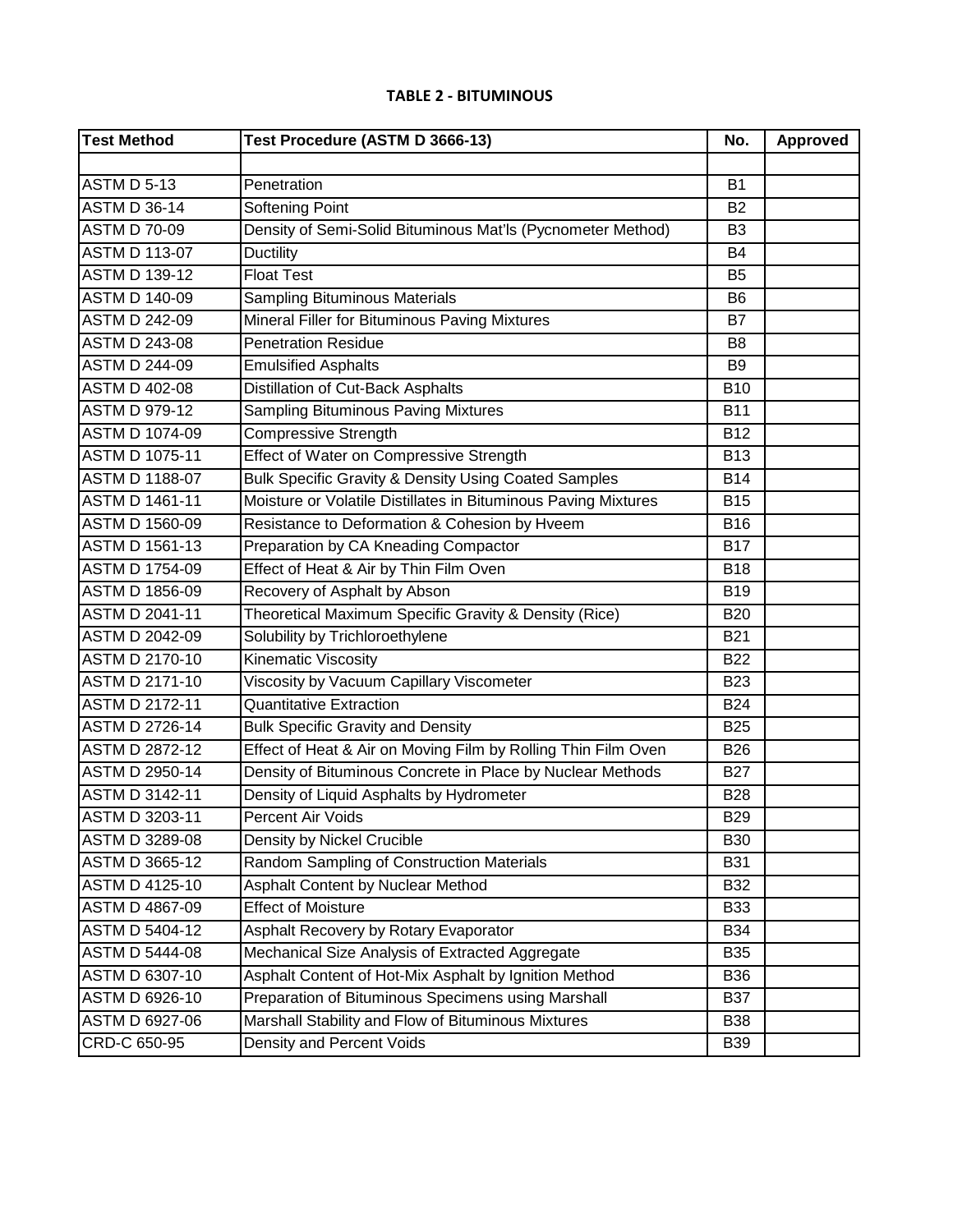#### **TABLE 2 - BITUMINOUS**

| <b>Test Method</b>    | Test Procedure (ASTM D 3666-13)                                 | No.            | Approved |
|-----------------------|-----------------------------------------------------------------|----------------|----------|
|                       |                                                                 |                |          |
| <b>ASTM D 5-13</b>    | Penetration                                                     | <b>B1</b>      |          |
| <b>ASTM D 36-14</b>   | <b>Softening Point</b>                                          | <b>B2</b>      |          |
| <b>ASTM D 70-09</b>   | Density of Semi-Solid Bituminous Mat'ls (Pycnometer Method)     | B <sub>3</sub> |          |
| <b>ASTM D 113-07</b>  | <b>Ductility</b>                                                | <b>B4</b>      |          |
| <b>ASTM D 139-12</b>  | <b>Float Test</b>                                               | <b>B5</b>      |          |
| <b>ASTM D 140-09</b>  | <b>Sampling Bituminous Materials</b>                            | B <sub>6</sub> |          |
| <b>ASTM D 242-09</b>  | Mineral Filler for Bituminous Paving Mixtures                   | <b>B7</b>      |          |
| <b>ASTM D 243-08</b>  | <b>Penetration Residue</b>                                      | B <sub>8</sub> |          |
| <b>ASTM D 244-09</b>  | <b>Emulsified Asphalts</b>                                      | B <sub>9</sub> |          |
| <b>ASTM D 402-08</b>  | Distillation of Cut-Back Asphalts                               | <b>B10</b>     |          |
| <b>ASTM D 979-12</b>  | <b>Sampling Bituminous Paving Mixtures</b>                      | <b>B11</b>     |          |
| <b>ASTM D 1074-09</b> | <b>Compressive Strength</b>                                     | <b>B12</b>     |          |
| <b>ASTM D 1075-11</b> | <b>Effect of Water on Compressive Strength</b>                  | <b>B13</b>     |          |
| <b>ASTM D 1188-07</b> | <b>Bulk Specific Gravity &amp; Density Using Coated Samples</b> | <b>B14</b>     |          |
| <b>ASTM D 1461-11</b> | Moisture or Volatile Distillates in Bituminous Paving Mixtures  | <b>B15</b>     |          |
| <b>ASTM D 1560-09</b> | Resistance to Deformation & Cohesion by Hveem                   | <b>B16</b>     |          |
| <b>ASTM D 1561-13</b> | Preparation by CA Kneading Compactor                            | <b>B17</b>     |          |
| <b>ASTM D 1754-09</b> | Effect of Heat & Air by Thin Film Oven                          | <b>B18</b>     |          |
| <b>ASTM D 1856-09</b> | Recovery of Asphalt by Abson                                    | <b>B19</b>     |          |
| ASTM D 2041-11        | Theoretical Maximum Specific Gravity & Density (Rice)           | <b>B20</b>     |          |
| <b>ASTM D 2042-09</b> | Solubility by Trichloroethylene                                 | <b>B21</b>     |          |
| ASTM D 2170-10        | Kinematic Viscosity                                             | <b>B22</b>     |          |
| <b>ASTM D 2171-10</b> | Viscosity by Vacuum Capillary Viscometer                        | <b>B23</b>     |          |
| <b>ASTM D 2172-11</b> | <b>Quantitative Extraction</b>                                  | <b>B24</b>     |          |
| <b>ASTM D 2726-14</b> | <b>Bulk Specific Gravity and Density</b>                        | <b>B25</b>     |          |
| <b>ASTM D 2872-12</b> | Effect of Heat & Air on Moving Film by Rolling Thin Film Oven   | <b>B26</b>     |          |
| <b>ASTM D 2950-14</b> | Density of Bituminous Concrete in Place by Nuclear Methods      | <b>B27</b>     |          |
| <b>ASTM D 3142-11</b> | Density of Liquid Asphalts by Hydrometer                        | <b>B28</b>     |          |
| ASTM D 3203-11        | Percent Air Voids                                               | <b>B29</b>     |          |
| <b>ASTM D 3289-08</b> | Density by Nickel Crucible                                      | <b>B30</b>     |          |
| <b>ASTM D 3665-12</b> | Random Sampling of Construction Materials                       | <b>B31</b>     |          |
| <b>ASTM D 4125-10</b> | Asphalt Content by Nuclear Method                               | <b>B32</b>     |          |
| <b>ASTM D 4867-09</b> | <b>Effect of Moisture</b>                                       | <b>B33</b>     |          |
| ASTM D 5404-12        | Asphalt Recovery by Rotary Evaporator                           | <b>B34</b>     |          |
| <b>ASTM D 5444-08</b> | Mechanical Size Analysis of Extracted Aggregate                 | <b>B35</b>     |          |
| <b>ASTM D 6307-10</b> | Asphalt Content of Hot-Mix Asphalt by Ignition Method           | <b>B36</b>     |          |
| <b>ASTM D 6926-10</b> | Preparation of Bituminous Specimens using Marshall              | <b>B37</b>     |          |
| ASTM D 6927-06        | Marshall Stability and Flow of Bituminous Mixtures              | <b>B38</b>     |          |
| CRD-C 650-95          | Density and Percent Voids                                       | <b>B39</b>     |          |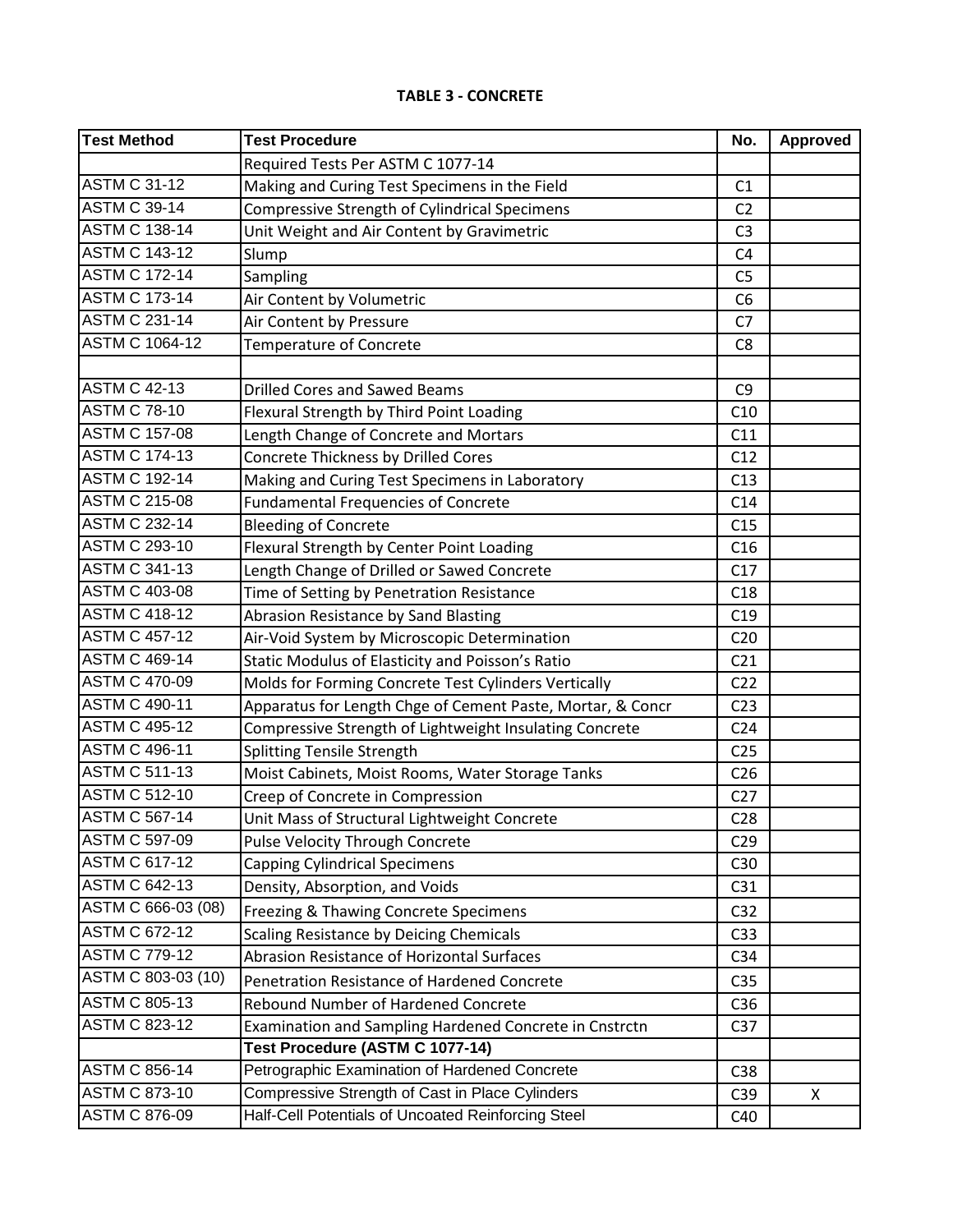## **TABLE 3 - CONCRETE**

| Test Method           | <b>Test Procedure</b>                                      | No.             | Approved |
|-----------------------|------------------------------------------------------------|-----------------|----------|
|                       | Required Tests Per ASTM C 1077-14                          |                 |          |
| <b>ASTM C 31-12</b>   | Making and Curing Test Specimens in the Field              | C1              |          |
| <b>ASTM C 39-14</b>   | <b>Compressive Strength of Cylindrical Specimens</b>       | C <sub>2</sub>  |          |
| <b>ASTM C 138-14</b>  | Unit Weight and Air Content by Gravimetric                 | C <sub>3</sub>  |          |
| <b>ASTM C 143-12</b>  | Slump                                                      | C <sub>4</sub>  |          |
| <b>ASTM C 172-14</b>  | Sampling                                                   | C <sub>5</sub>  |          |
| <b>ASTM C 173-14</b>  | Air Content by Volumetric                                  | C <sub>6</sub>  |          |
| <b>ASTM C 231-14</b>  | Air Content by Pressure                                    | C <sub>7</sub>  |          |
| <b>ASTM C 1064-12</b> | Temperature of Concrete                                    | C <sub>8</sub>  |          |
|                       |                                                            |                 |          |
| <b>ASTM C 42-13</b>   | <b>Drilled Cores and Sawed Beams</b>                       | C <sub>9</sub>  |          |
| <b>ASTM C 78-10</b>   | Flexural Strength by Third Point Loading                   | C10             |          |
| <b>ASTM C 157-08</b>  | Length Change of Concrete and Mortars                      | C11             |          |
| <b>ASTM C 174-13</b>  | Concrete Thickness by Drilled Cores                        | C12             |          |
| <b>ASTM C 192-14</b>  | Making and Curing Test Specimens in Laboratory             | C13             |          |
| <b>ASTM C 215-08</b>  | <b>Fundamental Frequencies of Concrete</b>                 | C14             |          |
| <b>ASTM C 232-14</b>  | <b>Bleeding of Concrete</b>                                | C15             |          |
| <b>ASTM C 293-10</b>  | Flexural Strength by Center Point Loading                  | C16             |          |
| <b>ASTM C 341-13</b>  | Length Change of Drilled or Sawed Concrete                 | C17             |          |
| <b>ASTM C 403-08</b>  | Time of Setting by Penetration Resistance                  | C18             |          |
| <b>ASTM C 418-12</b>  | Abrasion Resistance by Sand Blasting                       | C19             |          |
| <b>ASTM C 457-12</b>  | Air-Void System by Microscopic Determination               | C <sub>20</sub> |          |
| <b>ASTM C 469-14</b>  | Static Modulus of Elasticity and Poisson's Ratio           | C <sub>21</sub> |          |
| <b>ASTM C 470-09</b>  | Molds for Forming Concrete Test Cylinders Vertically       | C <sub>22</sub> |          |
| <b>ASTM C 490-11</b>  | Apparatus for Length Chge of Cement Paste, Mortar, & Concr | C <sub>23</sub> |          |
| <b>ASTM C 495-12</b>  | Compressive Strength of Lightweight Insulating Concrete    | C <sub>24</sub> |          |
| <b>ASTM C 496-11</b>  | Splitting Tensile Strength                                 | C <sub>25</sub> |          |
| <b>ASTM C 511-13</b>  | Moist Cabinets, Moist Rooms, Water Storage Tanks           | C <sub>26</sub> |          |
| <b>ASTM C 512-10</b>  | Creep of Concrete in Compression                           | C27             |          |
| <b>ASTM C 567-14</b>  | Unit Mass of Structural Lightweight Concrete               | C <sub>28</sub> |          |
| <b>ASTM C 597-09</b>  | Pulse Velocity Through Concrete                            | C <sub>29</sub> |          |
| <b>ASTM C 617-12</b>  | <b>Capping Cylindrical Specimens</b>                       | C30             |          |
| <b>ASTM C 642-13</b>  | Density, Absorption, and Voids                             | C31             |          |
| ASTM C 666-03 (08)    | Freezing & Thawing Concrete Specimens                      | C <sub>32</sub> |          |
| <b>ASTM C 672-12</b>  | Scaling Resistance by Deicing Chemicals                    | C <sub>33</sub> |          |
| <b>ASTM C 779-12</b>  | Abrasion Resistance of Horizontal Surfaces                 | C <sub>34</sub> |          |
| ASTM C 803-03 (10)    | Penetration Resistance of Hardened Concrete                | C <sub>35</sub> |          |
| <b>ASTM C 805-13</b>  | Rebound Number of Hardened Concrete                        | C36             |          |
| <b>ASTM C 823-12</b>  | Examination and Sampling Hardened Concrete in Cnstrctn     | C <sub>37</sub> |          |
|                       | Test Procedure (ASTM C 1077-14)                            |                 |          |
| <b>ASTM C 856-14</b>  | Petrographic Examination of Hardened Concrete              | C38             |          |
| <b>ASTM C 873-10</b>  | Compressive Strength of Cast in Place Cylinders            | C39             | X        |
| <b>ASTM C 876-09</b>  | Half-Cell Potentials of Uncoated Reinforcing Steel         | C40             |          |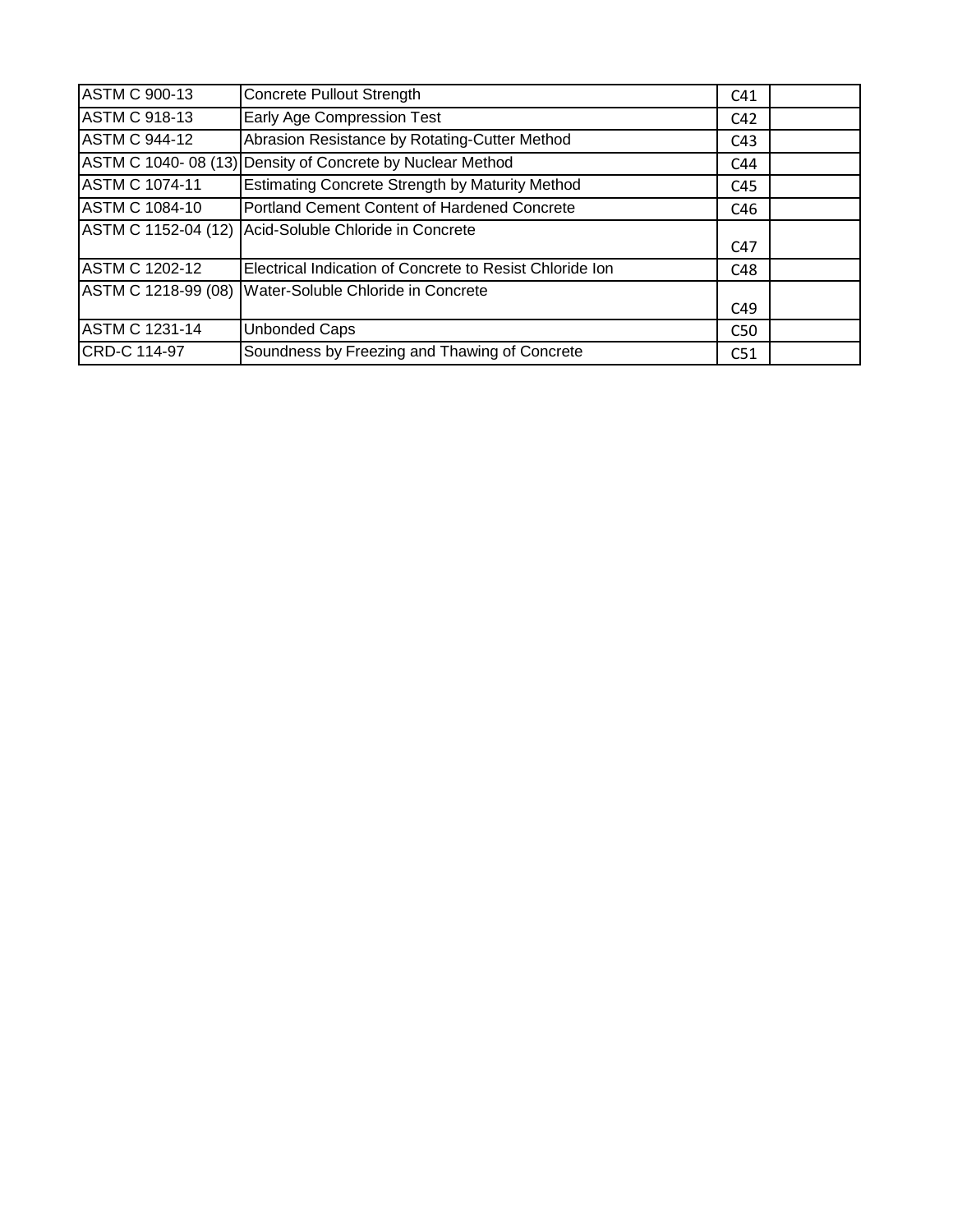| <b>ASTM C 900-13</b>  | Concrete Pullout Strength                                 | C <sub>41</sub> |  |
|-----------------------|-----------------------------------------------------------|-----------------|--|
| <b>ASTM C 918-13</b>  | Early Age Compression Test                                | C <sub>42</sub> |  |
| <b>ASTM C 944-12</b>  | Abrasion Resistance by Rotating-Cutter Method             | C <sub>43</sub> |  |
|                       | ASTM C 1040-08 (13) Density of Concrete by Nuclear Method | C44             |  |
| <b>ASTM C 1074-11</b> | <b>Estimating Concrete Strength by Maturity Method</b>    | C45             |  |
| <b>ASTM C 1084-10</b> | Portland Cement Content of Hardened Concrete              | C46             |  |
|                       | ASTM C 1152-04 (12) Acid-Soluble Chloride in Concrete     |                 |  |
|                       |                                                           | C47             |  |
| <b>ASTM C 1202-12</b> | Electrical Indication of Concrete to Resist Chloride Ion  | C48             |  |
|                       | ASTM C 1218-99 (08) Water-Soluble Chloride in Concrete    |                 |  |
|                       |                                                           | C49             |  |
| <b>ASTM C 1231-14</b> | <b>Unbonded Caps</b>                                      | C <sub>50</sub> |  |
| CRD-C 114-97          | Soundness by Freezing and Thawing of Concrete             | C <sub>51</sub> |  |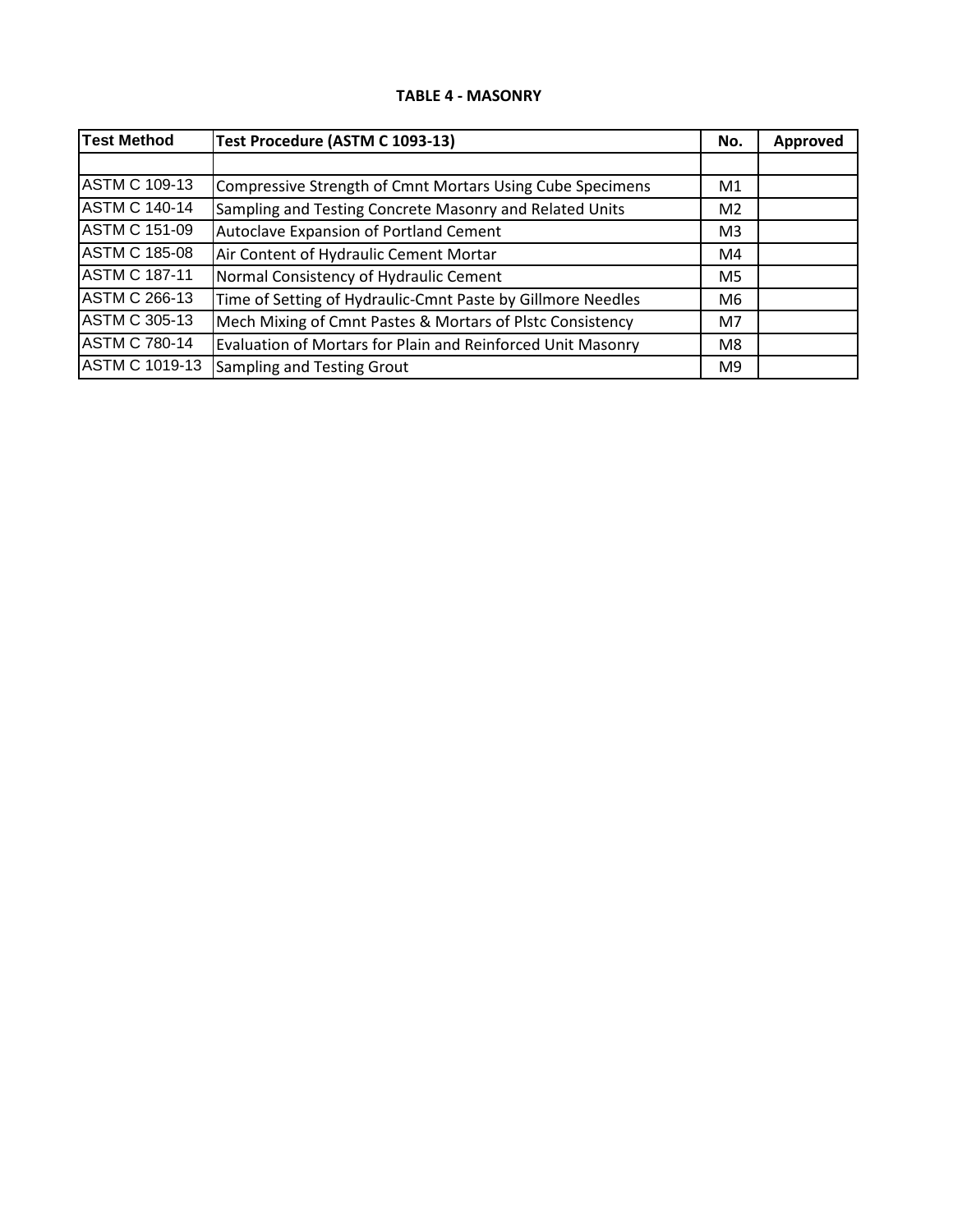### **TABLE 4 - MASONRY**

| <b>Test Method</b>    | Test Procedure (ASTM C 1093-13)                             | No.            | <b>Approved</b> |
|-----------------------|-------------------------------------------------------------|----------------|-----------------|
|                       |                                                             |                |                 |
| <b>ASTM C 109-13</b>  | Compressive Strength of Cmnt Mortars Using Cube Specimens   | M1             |                 |
| <b>ASTM C 140-14</b>  | Sampling and Testing Concrete Masonry and Related Units     | M <sub>2</sub> |                 |
| <b>ASTM C 151-09</b>  | <b>Autoclave Expansion of Portland Cement</b>               | M <sub>3</sub> |                 |
| <b>ASTM C 185-08</b>  | Air Content of Hydraulic Cement Mortar                      | M4             |                 |
| <b>ASTM C 187-11</b>  | Normal Consistency of Hydraulic Cement                      | M <sub>5</sub> |                 |
| <b>ASTM C 266-13</b>  | Time of Setting of Hydraulic-Cmnt Paste by Gillmore Needles | M6             |                 |
| <b>ASTM C 305-13</b>  | Mech Mixing of Cmnt Pastes & Mortars of Plstc Consistency   | M <sub>7</sub> |                 |
| <b>ASTM C 780-14</b>  | Evaluation of Mortars for Plain and Reinforced Unit Masonry | M8             |                 |
| <b>ASTM C 1019-13</b> | Sampling and Testing Grout                                  | M9             |                 |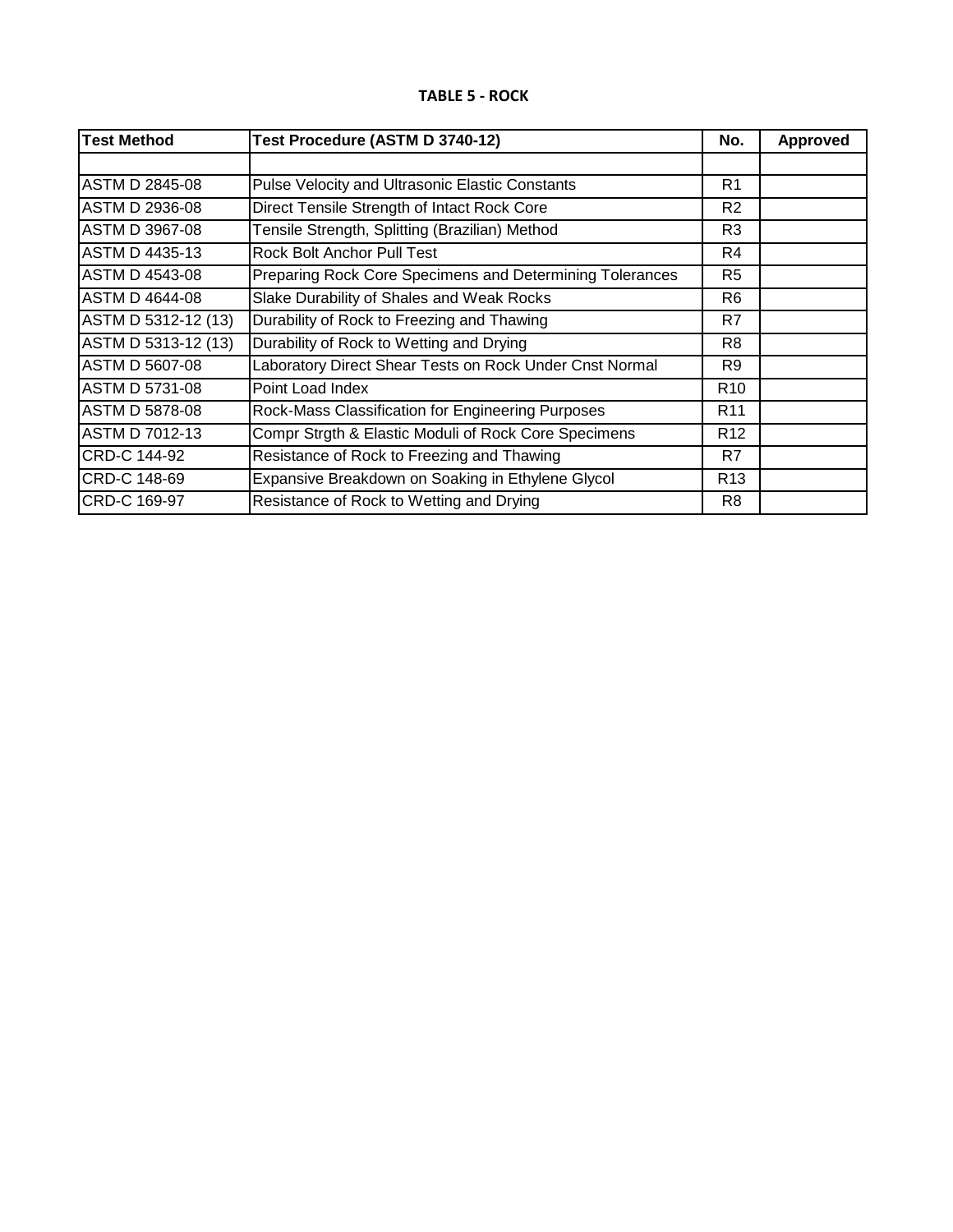## **TABLE 5 - ROCK**

| <b>Test Method</b>    | Test Procedure (ASTM D 3740-12)                          | No.             | <b>Approved</b> |
|-----------------------|----------------------------------------------------------|-----------------|-----------------|
|                       |                                                          |                 |                 |
| <b>ASTM D 2845-08</b> | <b>Pulse Velocity and Ultrasonic Elastic Constants</b>   | R1              |                 |
| <b>ASTM D 2936-08</b> | Direct Tensile Strength of Intact Rock Core              | R <sub>2</sub>  |                 |
| <b>ASTM D 3967-08</b> | Tensile Strength, Splitting (Brazilian) Method           | R <sub>3</sub>  |                 |
| <b>ASTM D 4435-13</b> | Rock Bolt Anchor Pull Test                               | R4              |                 |
| <b>ASTM D 4543-08</b> | Preparing Rock Core Specimens and Determining Tolerances | R5              |                 |
| <b>ASTM D 4644-08</b> | Slake Durability of Shales and Weak Rocks                | R6              |                 |
| ASTM D 5312-12 (13)   | Durability of Rock to Freezing and Thawing               | R7              |                 |
| ASTM D 5313-12 (13)   | Durability of Rock to Wetting and Drying                 | R8              |                 |
| <b>ASTM D 5607-08</b> | Laboratory Direct Shear Tests on Rock Under Cnst Normal  | R9              |                 |
| <b>ASTM D 5731-08</b> | Point Load Index                                         | R <sub>10</sub> |                 |
| ASTM D 5878-08        | Rock-Mass Classification for Engineering Purposes        | R <sub>11</sub> |                 |
| <b>ASTM D 7012-13</b> | Compr Strgth & Elastic Moduli of Rock Core Specimens     | R <sub>12</sub> |                 |
| CRD-C 144-92          | Resistance of Rock to Freezing and Thawing               | R7              |                 |
| CRD-C 148-69          | Expansive Breakdown on Soaking in Ethylene Glycol        | R <sub>13</sub> |                 |
| CRD-C 169-97          | Resistance of Rock to Wetting and Drying                 | R8              |                 |